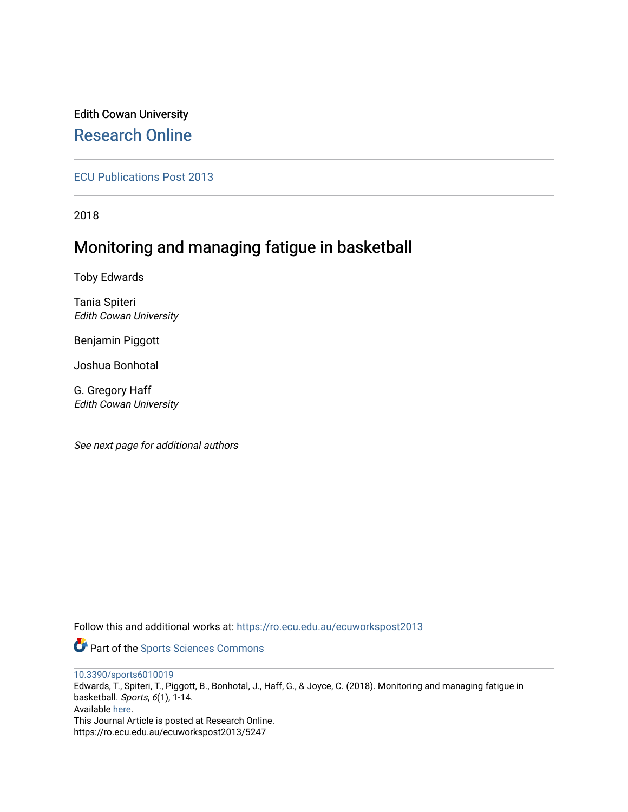## Edith Cowan University [Research Online](https://ro.ecu.edu.au/)

[ECU Publications Post 2013](https://ro.ecu.edu.au/ecuworkspost2013)

2018

# Monitoring and managing fatigue in basketball

Toby Edwards

Tania Spiteri Edith Cowan University

Benjamin Piggott

Joshua Bonhotal

G. Gregory Haff Edith Cowan University

See next page for additional authors

Follow this and additional works at: [https://ro.ecu.edu.au/ecuworkspost2013](https://ro.ecu.edu.au/ecuworkspost2013?utm_source=ro.ecu.edu.au%2Fecuworkspost2013%2F5247&utm_medium=PDF&utm_campaign=PDFCoverPages) 

Part of the [Sports Sciences Commons](http://network.bepress.com/hgg/discipline/759?utm_source=ro.ecu.edu.au%2Fecuworkspost2013%2F5247&utm_medium=PDF&utm_campaign=PDFCoverPages) 

[10.3390/sports6010019](http://dx.doi.org/10.3390/sports6010019)

Edwards, T., Spiteri, T., Piggott, B., Bonhotal, J., Haff, G., & Joyce, C. (2018). Monitoring and managing fatigue in basketball. Sports, 6(1), 1-14. Available [here.](https://doi.org/10.3390/sports6010019) This Journal Article is posted at Research Online. https://ro.ecu.edu.au/ecuworkspost2013/5247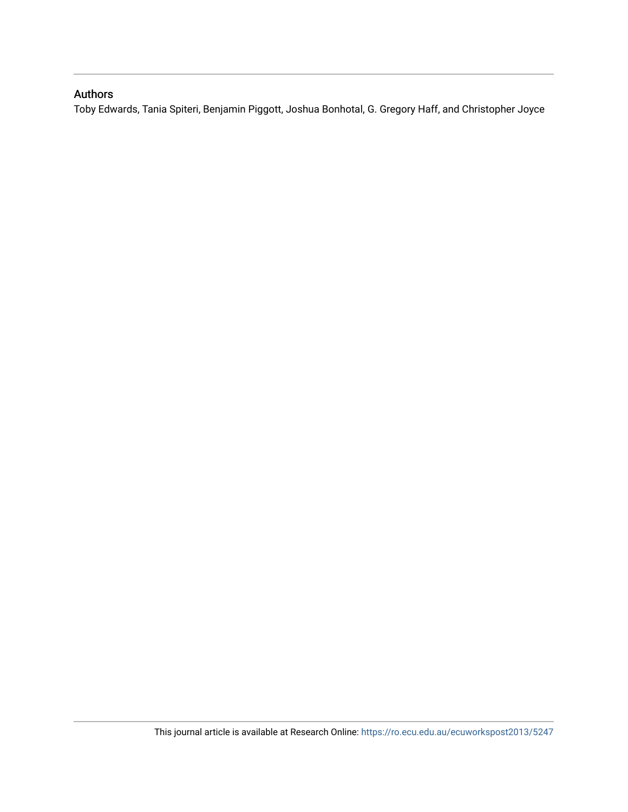## Authors

Toby Edwards, Tania Spiteri, Benjamin Piggott, Joshua Bonhotal, G. Gregory Haff, and Christopher Joyce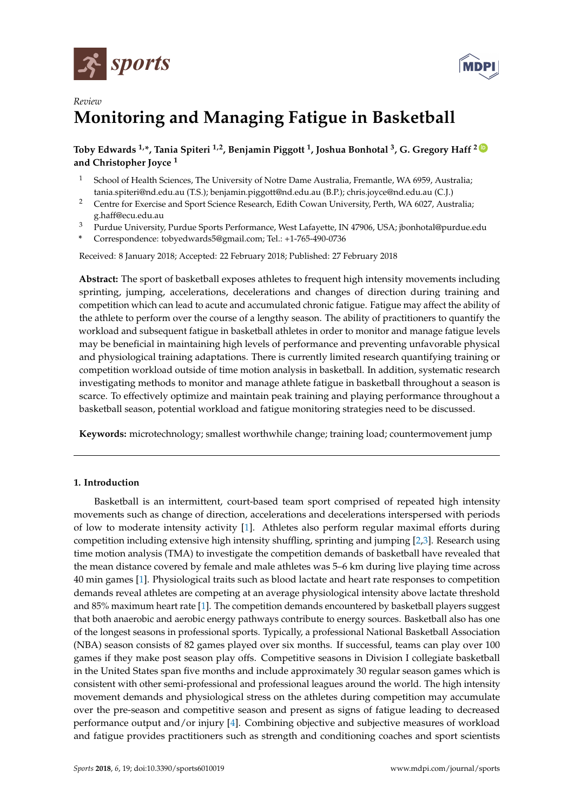



## *Review* **Monitoring and Managing Fatigue in Basketball**

### **Toby Edwards 1,\*, Tania Spiteri 1,2, Benjamin Piggott <sup>1</sup> , Joshua Bonhotal <sup>3</sup> , G. Gregory Haff <sup>2</sup> [ID](https://orcid.org/0000-0002-0676-7750) and Christopher Joyce <sup>1</sup>**

- <sup>1</sup> School of Health Sciences, The University of Notre Dame Australia, Fremantle, WA 6959, Australia; tania.spiteri@nd.edu.au (T.S.); benjamin.piggott@nd.edu.au (B.P.); chris.joyce@nd.edu.au (C.J.)
- <sup>2</sup> Centre for Exercise and Sport Science Research, Edith Cowan University, Perth, WA 6027, Australia; g.haff@ecu.edu.au
- <sup>3</sup> Purdue University, Purdue Sports Performance, West Lafayette, IN 47906, USA; jbonhotal@purdue.edu
- **\*** Correspondence: tobyedwards5@gmail.com; Tel.: +1-765-490-0736

Received: 8 January 2018; Accepted: 22 February 2018; Published: 27 February 2018

**Abstract:** The sport of basketball exposes athletes to frequent high intensity movements including sprinting, jumping, accelerations, decelerations and changes of direction during training and competition which can lead to acute and accumulated chronic fatigue. Fatigue may affect the ability of the athlete to perform over the course of a lengthy season. The ability of practitioners to quantify the workload and subsequent fatigue in basketball athletes in order to monitor and manage fatigue levels may be beneficial in maintaining high levels of performance and preventing unfavorable physical and physiological training adaptations. There is currently limited research quantifying training or competition workload outside of time motion analysis in basketball. In addition, systematic research investigating methods to monitor and manage athlete fatigue in basketball throughout a season is scarce. To effectively optimize and maintain peak training and playing performance throughout a basketball season, potential workload and fatigue monitoring strategies need to be discussed.

**Keywords:** microtechnology; smallest worthwhile change; training load; countermovement jump

### **1. Introduction**

Basketball is an intermittent, court-based team sport comprised of repeated high intensity movements such as change of direction, accelerations and decelerations interspersed with periods of low to moderate intensity activity [\[1\]](#page-11-0). Athletes also perform regular maximal efforts during competition including extensive high intensity shuffling, sprinting and jumping [\[2,](#page-11-1)[3\]](#page-11-2). Research using time motion analysis (TMA) to investigate the competition demands of basketball have revealed that the mean distance covered by female and male athletes was 5–6 km during live playing time across 40 min games [\[1\]](#page-11-0). Physiological traits such as blood lactate and heart rate responses to competition demands reveal athletes are competing at an average physiological intensity above lactate threshold and 85% maximum heart rate [\[1\]](#page-11-0). The competition demands encountered by basketball players suggest that both anaerobic and aerobic energy pathways contribute to energy sources. Basketball also has one of the longest seasons in professional sports. Typically, a professional National Basketball Association (NBA) season consists of 82 games played over six months. If successful, teams can play over 100 games if they make post season play offs. Competitive seasons in Division I collegiate basketball in the United States span five months and include approximately 30 regular season games which is consistent with other semi-professional and professional leagues around the world. The high intensity movement demands and physiological stress on the athletes during competition may accumulate over the pre-season and competitive season and present as signs of fatigue leading to decreased performance output and/or injury [\[4\]](#page-11-3). Combining objective and subjective measures of workload and fatigue provides practitioners such as strength and conditioning coaches and sport scientists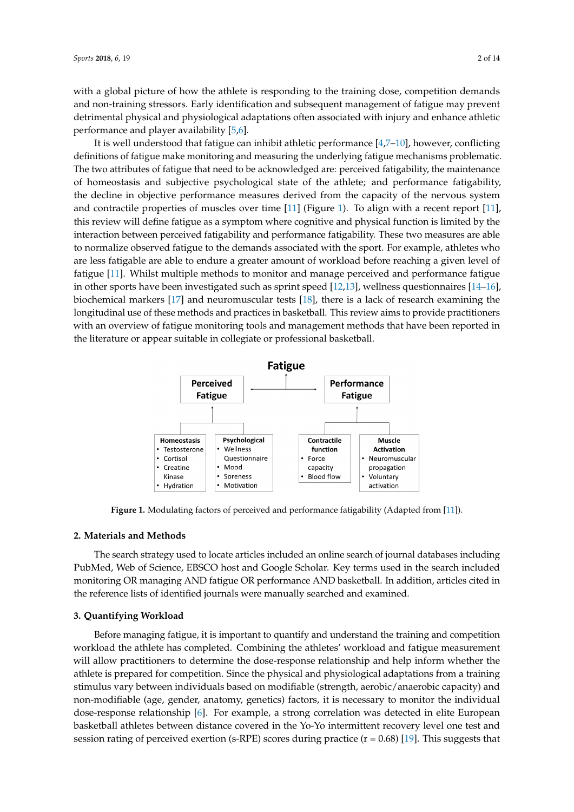with a global picture of how the athlete is responding to the training dose, competition demands and non-training stressors. Early identification and subsequent management of fatigue may prevent detrimental physical and physiological adaptations often associated with injury and enhance athletic performance and player availability [\[5](#page-12-0)[,6\]](#page-12-1).

It is well understood that fatigue can inhibit athletic performance [\[4,](#page-11-3)[7](#page-12-2)[–10\]](#page-12-3), however, conflicting It is well understood that fatigue can inhibit athletic performance [4,7–10], however, conflicting definitions of fatigue make monitoring and measuring the underlying fatigue mechanisms problematic. definitions of fatigue make monitoring and measuring the underlying fatigue mechanisms The two attributes of fatigue that need to be acknowledged are: perceived fatigability, the maintenance of homeostasis and subjective psychological state of the athlete; and performance fatigability, the decline in objective performance measures derived from the capacity of the nervous system and contractile properties of muscles over time  $[11]$  (Figure [1\)](#page-3-0). To align with a recent report  $[11]$ , this review will define fatigue as a symptom where cognitive and physical function is limited by the interaction between perceived fatigability and performance fatigability. These two measures are able to normalize observed fatigue to the demands associated with the sport. For example, athletes who are less fatigable are able to endure a greater amount of workload before reaching a given level of fatigue [\[11\]](#page-12-4). Whilst multiple methods to monitor and manage perceived and performance fatigue in other sports have been investigated such as sprint speed  $[12,13]$  $[12,13]$ , wellness questionnaires  $[14-16]$  $[14-16]$ , biochemical markers  $[17]$  and neuromuscular tests  $[18]$ , there is a lack of research examining the longitudinal use of these methods and practices in basketball. This review aims to provide practitioners with an overview of fatigue monitoring tools and management methods that have been reported in the literature or appear suitable in collegiate or professional basketball.

<span id="page-3-0"></span>

**Figure 1.** Modulating factors of perceived and performance fatigability (Adapted from [11]). **Figure 1.** Modulating factors of perceived and performance fatigability (Adapted from [\[11\]](#page-12-4)).

## **2. Materials and Methods 2. Materials and Methods**

The search strategy used to locate articles included an online search of journal databases The search strategy used to locate articles included an online search of journal databases including PubMed, Web of Science, EBSCO host and Google Scholar. Key terms used in the search included monitoring OR managing AND fatigue OR performance AND basketball. In addition, articles cited in the reference lists of identified journals were manually searched and examined.

### **3. Quantifying Workload 3. Quantifying Workload**

Before managing fatigue, it is important to quantify and understand the training and Before managing fatigue, it is important to quantify and understand the training and competition workload the athlete has completed. Combining the athletes' workload and fatigue measurement will allow practitioners to determine the dose-response relationship and help inform whether the athlete is prepared for competition. Since the physical and physiological adaptations from a training stimulus vary between individuals based on modifiable (strength, aerobic/anaerobic capacity) and non-modifiable (age, gender, anatomy, genetics) factors, it is necessary to monitor the individual dose-response relationship [\[6\]](#page-12-1). For example, a strong correlation was detected in elite European basketball athletes between distance covered in the Yo-Yo intermittent recovery level one test and session rating of perceived exertion (s-RPE) scores during practice  $(r = 0.68)$  [\[19\]](#page-12-11). This suggests that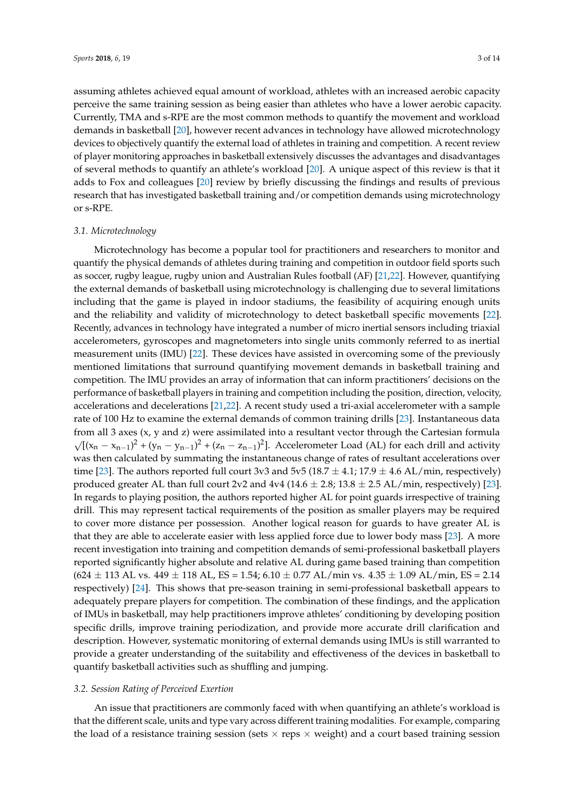assuming athletes achieved equal amount of workload, athletes with an increased aerobic capacity perceive the same training session as being easier than athletes who have a lower aerobic capacity. Currently, TMA and s-RPE are the most common methods to quantify the movement and workload demands in basketball [\[20\]](#page-12-12), however recent advances in technology have allowed microtechnology devices to objectively quantify the external load of athletes in training and competition. A recent review of player monitoring approaches in basketball extensively discusses the advantages and disadvantages of several methods to quantify an athlete's workload [\[20\]](#page-12-12). A unique aspect of this review is that it adds to Fox and colleagues [\[20\]](#page-12-12) review by briefly discussing the findings and results of previous research that has investigated basketball training and/or competition demands using microtechnology or s-RPE.

#### *3.1. Microtechnology*

Microtechnology has become a popular tool for practitioners and researchers to monitor and quantify the physical demands of athletes during training and competition in outdoor field sports such as soccer, rugby league, rugby union and Australian Rules football (AF) [\[21,](#page-12-13)[22\]](#page-12-14). However, quantifying the external demands of basketball using microtechnology is challenging due to several limitations including that the game is played in indoor stadiums, the feasibility of acquiring enough units and the reliability and validity of microtechnology to detect basketball specific movements [\[22\]](#page-12-14). Recently, advances in technology have integrated a number of micro inertial sensors including triaxial accelerometers, gyroscopes and magnetometers into single units commonly referred to as inertial measurement units (IMU) [\[22\]](#page-12-14). These devices have assisted in overcoming some of the previously mentioned limitations that surround quantifying movement demands in basketball training and competition. The IMU provides an array of information that can inform practitioners' decisions on the performance of basketball players in training and competition including the position, direction, velocity, accelerations and decelerations [\[21,](#page-12-13)[22\]](#page-12-14). A recent study used a tri-axial accelerometer with a sample rate of 100 Hz to examine the external demands of common training drills [\[23\]](#page-12-15). Instantaneous data from all 3 axes (x, y and z) were assimilated into a resultant vector through the Cartesian formula  $\sqrt{[(x_n - x_{n-1})^2 + (y_n - y_{n-1})^2 + (z_n - z_{n-1})^2]}$ . Accelerometer Load (AL) for each drill and activity was then calculated by summating the instantaneous change of rates of resultant accelerations over time [\[23\]](#page-12-15). The authors reported full court 3v3 and 5v5 (18.7  $\pm$  4.1; 17.9  $\pm$  4.6 AL/min, respectively) produced greater AL than full court 2v2 and  $4v4$  (14.6  $\pm$  2.8; 13.8  $\pm$  2.5 AL/min, respectively) [\[23\]](#page-12-15). In regards to playing position, the authors reported higher AL for point guards irrespective of training drill. This may represent tactical requirements of the position as smaller players may be required to cover more distance per possession. Another logical reason for guards to have greater AL is that they are able to accelerate easier with less applied force due to lower body mass [\[23\]](#page-12-15). A more recent investigation into training and competition demands of semi-professional basketball players reported significantly higher absolute and relative AL during game based training than competition  $(624 \pm 113 \text{ AL vs. } 449 \pm 118 \text{ AL}$ , ES = 1.54; 6.10  $\pm$  0.77 AL/min vs. 4.35  $\pm$  1.09 AL/min, ES = 2.14 respectively) [\[24\]](#page-12-16). This shows that pre-season training in semi-professional basketball appears to adequately prepare players for competition. The combination of these findings, and the application of IMUs in basketball, may help practitioners improve athletes' conditioning by developing position specific drills, improve training periodization, and provide more accurate drill clarification and description. However, systematic monitoring of external demands using IMUs is still warranted to provide a greater understanding of the suitability and effectiveness of the devices in basketball to quantify basketball activities such as shuffling and jumping.

#### *3.2. Session Rating of Perceived Exertion*

An issue that practitioners are commonly faced with when quantifying an athlete's workload is that the different scale, units and type vary across different training modalities. For example, comparing the load of a resistance training session (sets  $\times$  reps  $\times$  weight) and a court based training session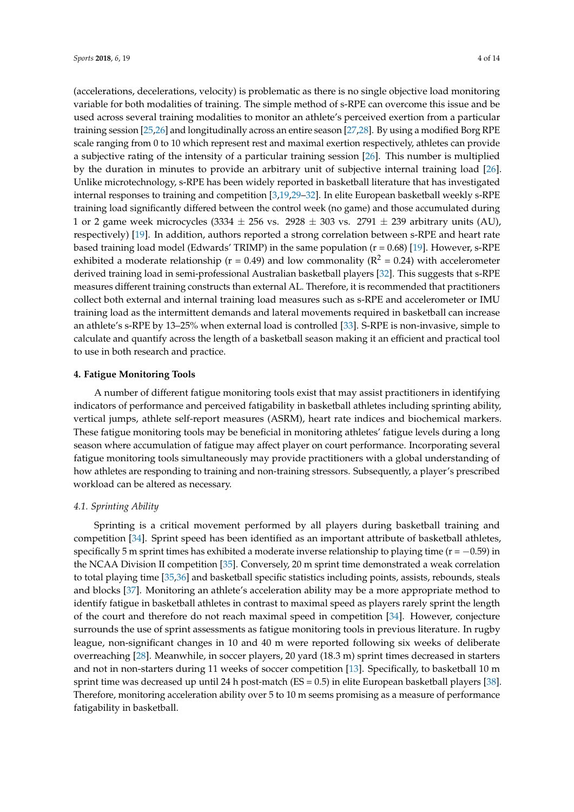(accelerations, decelerations, velocity) is problematic as there is no single objective load monitoring variable for both modalities of training. The simple method of s-RPE can overcome this issue and be used across several training modalities to monitor an athlete's perceived exertion from a particular training session [\[25](#page-12-17)[,26\]](#page-12-18) and longitudinally across an entire season [\[27](#page-13-0)[,28\]](#page-13-1). By using a modified Borg RPE scale ranging from 0 to 10 which represent rest and maximal exertion respectively, athletes can provide a subjective rating of the intensity of a particular training session [\[26\]](#page-12-18). This number is multiplied by the duration in minutes to provide an arbitrary unit of subjective internal training load [\[26\]](#page-12-18). Unlike microtechnology, s-RPE has been widely reported in basketball literature that has investigated internal responses to training and competition [\[3,](#page-11-2)[19](#page-12-11)[,29](#page-13-2)[–32\]](#page-13-3). In elite European basketball weekly s-RPE training load significantly differed between the control week (no game) and those accumulated during 1 or 2 game week microcycles (3334  $\pm$  256 vs. 2928  $\pm$  303 vs. 2791  $\pm$  239 arbitrary units (AU), respectively) [\[19\]](#page-12-11). In addition, authors reported a strong correlation between s-RPE and heart rate based training load model (Edwards' TRIMP) in the same population  $(r = 0.68)$  [\[19\]](#page-12-11). However, s-RPE exhibited a moderate relationship ( $r = 0.49$ ) and low commonality ( $R^2 = 0.24$ ) with accelerometer derived training load in semi-professional Australian basketball players [\[32\]](#page-13-3). This suggests that s-RPE measures different training constructs than external AL. Therefore, it is recommended that practitioners collect both external and internal training load measures such as s-RPE and accelerometer or IMU training load as the intermittent demands and lateral movements required in basketball can increase an athlete's s-RPE by 13–25% when external load is controlled [\[33\]](#page-13-4). S-RPE is non-invasive, simple to calculate and quantify across the length of a basketball season making it an efficient and practical tool to use in both research and practice.

#### **4. Fatigue Monitoring Tools**

A number of different fatigue monitoring tools exist that may assist practitioners in identifying indicators of performance and perceived fatigability in basketball athletes including sprinting ability, vertical jumps, athlete self-report measures (ASRM), heart rate indices and biochemical markers. These fatigue monitoring tools may be beneficial in monitoring athletes' fatigue levels during a long season where accumulation of fatigue may affect player on court performance. Incorporating several fatigue monitoring tools simultaneously may provide practitioners with a global understanding of how athletes are responding to training and non-training stressors. Subsequently, a player's prescribed workload can be altered as necessary.

#### *4.1. Sprinting Ability*

Sprinting is a critical movement performed by all players during basketball training and competition [\[34\]](#page-13-5). Sprint speed has been identified as an important attribute of basketball athletes, specifically 5 m sprint times has exhibited a moderate inverse relationship to playing time ( $r = -0.59$ ) in the NCAA Division II competition [\[35\]](#page-13-6). Conversely, 20 m sprint time demonstrated a weak correlation to total playing time [\[35,](#page-13-6)[36\]](#page-13-7) and basketball specific statistics including points, assists, rebounds, steals and blocks [\[37\]](#page-13-8). Monitoring an athlete's acceleration ability may be a more appropriate method to identify fatigue in basketball athletes in contrast to maximal speed as players rarely sprint the length of the court and therefore do not reach maximal speed in competition [\[34\]](#page-13-5). However, conjecture surrounds the use of sprint assessments as fatigue monitoring tools in previous literature. In rugby league, non-significant changes in 10 and 40 m were reported following six weeks of deliberate overreaching [\[28\]](#page-13-1). Meanwhile, in soccer players, 20 yard (18.3 m) sprint times decreased in starters and not in non-starters during 11 weeks of soccer competition [\[13\]](#page-12-6). Specifically, to basketball 10 m sprint time was decreased up until 24 h post-match (ES = 0.5) in elite European basketball players [\[38\]](#page-13-9). Therefore, monitoring acceleration ability over 5 to 10 m seems promising as a measure of performance fatigability in basketball.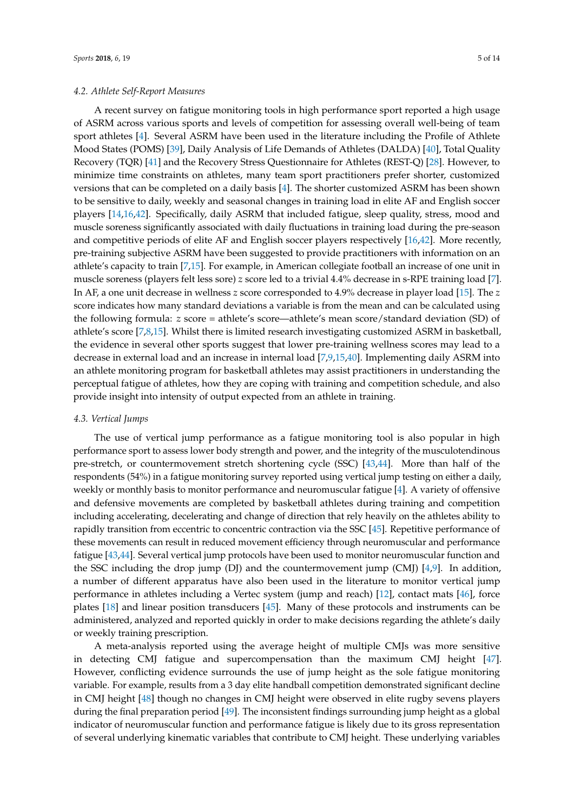#### *4.2. Athlete Self-Report Measures*

A recent survey on fatigue monitoring tools in high performance sport reported a high usage of ASRM across various sports and levels of competition for assessing overall well-being of team sport athletes [\[4\]](#page-11-3). Several ASRM have been used in the literature including the Profile of Athlete Mood States (POMS) [\[39\]](#page-13-10), Daily Analysis of Life Demands of Athletes (DALDA) [\[40\]](#page-13-11), Total Quality Recovery (TQR) [\[41\]](#page-13-12) and the Recovery Stress Questionnaire for Athletes (REST-Q) [\[28\]](#page-13-1). However, to minimize time constraints on athletes, many team sport practitioners prefer shorter, customized versions that can be completed on a daily basis [\[4\]](#page-11-3). The shorter customized ASRM has been shown to be sensitive to daily, weekly and seasonal changes in training load in elite AF and English soccer players [\[14](#page-12-7)[,16](#page-12-8)[,42\]](#page-13-13). Specifically, daily ASRM that included fatigue, sleep quality, stress, mood and muscle soreness significantly associated with daily fluctuations in training load during the pre-season and competitive periods of elite AF and English soccer players respectively [\[16,](#page-12-8)[42\]](#page-13-13). More recently, pre-training subjective ASRM have been suggested to provide practitioners with information on an athlete's capacity to train [\[7](#page-12-2)[,15\]](#page-12-19). For example, in American collegiate football an increase of one unit in muscle soreness (players felt less sore) *z* score led to a trivial 4.4% decrease in s-RPE training load [\[7\]](#page-12-2). In AF, a one unit decrease in wellness *z* score corresponded to 4.9% decrease in player load [\[15\]](#page-12-19). The *z* score indicates how many standard deviations a variable is from the mean and can be calculated using the following formula: *z* score = athlete's score—athlete's mean score/standard deviation (SD) of athlete's score [\[7,](#page-12-2)[8,](#page-12-20)[15\]](#page-12-19). Whilst there is limited research investigating customized ASRM in basketball, the evidence in several other sports suggest that lower pre-training wellness scores may lead to a decrease in external load and an increase in internal load [\[7](#page-12-2)[,9](#page-12-21)[,15](#page-12-19)[,40\]](#page-13-11). Implementing daily ASRM into an athlete monitoring program for basketball athletes may assist practitioners in understanding the perceptual fatigue of athletes, how they are coping with training and competition schedule, and also provide insight into intensity of output expected from an athlete in training.

#### *4.3. Vertical Jumps*

The use of vertical jump performance as a fatigue monitoring tool is also popular in high performance sport to assess lower body strength and power, and the integrity of the musculotendinous pre-stretch, or countermovement stretch shortening cycle (SSC) [\[43](#page-13-14)[,44\]](#page-13-15). More than half of the respondents (54%) in a fatigue monitoring survey reported using vertical jump testing on either a daily, weekly or monthly basis to monitor performance and neuromuscular fatigue [\[4\]](#page-11-3). A variety of offensive and defensive movements are completed by basketball athletes during training and competition including accelerating, decelerating and change of direction that rely heavily on the athletes ability to rapidly transition from eccentric to concentric contraction via the SSC [\[45\]](#page-13-16). Repetitive performance of these movements can result in reduced movement efficiency through neuromuscular and performance fatigue [\[43,](#page-13-14)[44\]](#page-13-15). Several vertical jump protocols have been used to monitor neuromuscular function and the SSC including the drop jump (DJ) and the countermovement jump (CMJ) [\[4,](#page-11-3)[9\]](#page-12-21). In addition, a number of different apparatus have also been used in the literature to monitor vertical jump performance in athletes including a Vertec system (jump and reach) [\[12\]](#page-12-5), contact mats [\[46\]](#page-13-17), force plates [\[18\]](#page-12-10) and linear position transducers [\[45\]](#page-13-16). Many of these protocols and instruments can be administered, analyzed and reported quickly in order to make decisions regarding the athlete's daily or weekly training prescription.

A meta-analysis reported using the average height of multiple CMJs was more sensitive in detecting CMJ fatigue and supercompensation than the maximum CMJ height [\[47\]](#page-13-18). However, conflicting evidence surrounds the use of jump height as the sole fatigue monitoring variable. For example, results from a 3 day elite handball competition demonstrated significant decline in CMJ height [\[48\]](#page-13-19) though no changes in CMJ height were observed in elite rugby sevens players during the final preparation period [\[49\]](#page-13-20). The inconsistent findings surrounding jump height as a global indicator of neuromuscular function and performance fatigue is likely due to its gross representation of several underlying kinematic variables that contribute to CMJ height. These underlying variables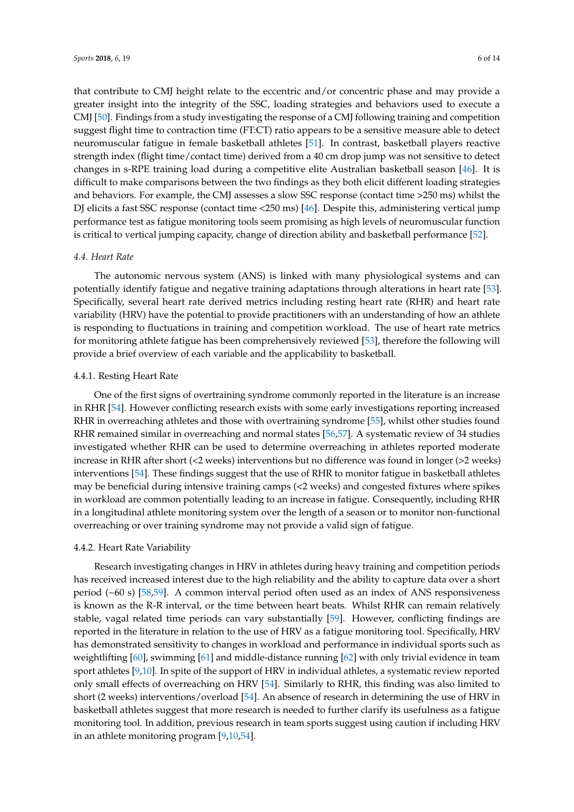that contribute to CMJ height relate to the eccentric and/or concentric phase and may provide a greater insight into the integrity of the SSC, loading strategies and behaviors used to execute a CMJ [\[50\]](#page-14-0). Findings from a study investigating the response of a CMJ following training and competition suggest flight time to contraction time (FT:CT) ratio appears to be a sensitive measure able to detect neuromuscular fatigue in female basketball athletes [\[51\]](#page-14-1). In contrast, basketball players reactive strength index (flight time/contact time) derived from a 40 cm drop jump was not sensitive to detect changes in s-RPE training load during a competitive elite Australian basketball season [\[46\]](#page-13-17). It is difficult to make comparisons between the two findings as they both elicit different loading strategies and behaviors. For example, the CMJ assesses a slow SSC response (contact time >250 ms) whilst the DJ elicits a fast SSC response (contact time <250 ms) [\[46\]](#page-13-17). Despite this, administering vertical jump performance test as fatigue monitoring tools seem promising as high levels of neuromuscular function is critical to vertical jumping capacity, change of direction ability and basketball performance [\[52\]](#page-14-2).

#### *4.4. Heart Rate*

The autonomic nervous system (ANS) is linked with many physiological systems and can potentially identify fatigue and negative training adaptations through alterations in heart rate [\[53\]](#page-14-3). Specifically, several heart rate derived metrics including resting heart rate (RHR) and heart rate variability (HRV) have the potential to provide practitioners with an understanding of how an athlete is responding to fluctuations in training and competition workload. The use of heart rate metrics for monitoring athlete fatigue has been comprehensively reviewed [\[53\]](#page-14-3), therefore the following will provide a brief overview of each variable and the applicability to basketball.

#### 4.4.1. Resting Heart Rate

One of the first signs of overtraining syndrome commonly reported in the literature is an increase in RHR [\[54\]](#page-14-4). However conflicting research exists with some early investigations reporting increased RHR in overreaching athletes and those with overtraining syndrome [\[55\]](#page-14-5), whilst other studies found RHR remained similar in overreaching and normal states [\[56](#page-14-6)[,57\]](#page-14-7). A systematic review of 34 studies investigated whether RHR can be used to determine overreaching in athletes reported moderate increase in RHR after short (<2 weeks) interventions but no difference was found in longer (>2 weeks) interventions [\[54\]](#page-14-4). These findings suggest that the use of RHR to monitor fatigue in basketball athletes may be beneficial during intensive training camps (<2 weeks) and congested fixtures where spikes in workload are common potentially leading to an increase in fatigue. Consequently, including RHR in a longitudinal athlete monitoring system over the length of a season or to monitor non-functional overreaching or over training syndrome may not provide a valid sign of fatigue.

#### 4.4.2. Heart Rate Variability

Research investigating changes in HRV in athletes during heavy training and competition periods has received increased interest due to the high reliability and the ability to capture data over a short period (~60 s) [\[58](#page-14-8)[,59\]](#page-14-9). A common interval period often used as an index of ANS responsiveness is known as the R-R interval, or the time between heart beats. Whilst RHR can remain relatively stable, vagal related time periods can vary substantially [\[59\]](#page-14-9). However, conflicting findings are reported in the literature in relation to the use of HRV as a fatigue monitoring tool. Specifically, HRV has demonstrated sensitivity to changes in workload and performance in individual sports such as weightlifting [\[60\]](#page-14-10), swimming [\[61\]](#page-14-11) and middle-distance running [\[62\]](#page-14-12) with only trivial evidence in team sport athletes [\[9,](#page-12-21)[10\]](#page-12-3). In spite of the support of HRV in individual athletes, a systematic review reported only small effects of overreaching on HRV [\[54\]](#page-14-4). Similarly to RHR, this finding was also limited to short (2 weeks) interventions/overload [\[54\]](#page-14-4). An absence of research in determining the use of HRV in basketball athletes suggest that more research is needed to further clarify its usefulness as a fatigue monitoring tool. In addition, previous research in team sports suggest using caution if including HRV in an athlete monitoring program [\[9,](#page-12-21)[10,](#page-12-3)[54\]](#page-14-4).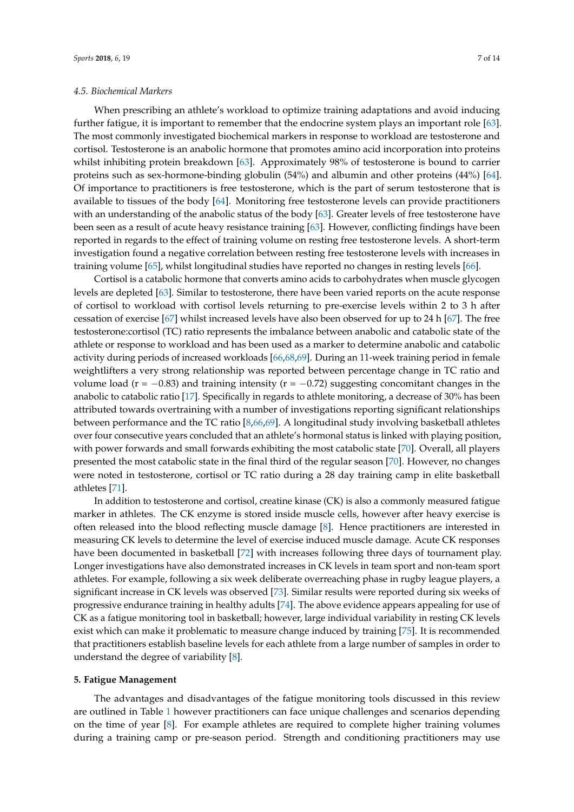#### *4.5. Biochemical Markers*

When prescribing an athlete's workload to optimize training adaptations and avoid inducing further fatigue, it is important to remember that the endocrine system plays an important role [\[63\]](#page-14-13). The most commonly investigated biochemical markers in response to workload are testosterone and cortisol. Testosterone is an anabolic hormone that promotes amino acid incorporation into proteins whilst inhibiting protein breakdown [\[63\]](#page-14-13). Approximately 98% of testosterone is bound to carrier proteins such as sex-hormone-binding globulin (54%) and albumin and other proteins (44%) [\[64\]](#page-14-14). Of importance to practitioners is free testosterone, which is the part of serum testosterone that is available to tissues of the body [\[64\]](#page-14-14). Monitoring free testosterone levels can provide practitioners with an understanding of the anabolic status of the body [\[63\]](#page-14-13). Greater levels of free testosterone have been seen as a result of acute heavy resistance training [\[63\]](#page-14-13). However, conflicting findings have been reported in regards to the effect of training volume on resting free testosterone levels. A short-term investigation found a negative correlation between resting free testosterone levels with increases in training volume [\[65\]](#page-14-15), whilst longitudinal studies have reported no changes in resting levels [\[66\]](#page-14-16).

Cortisol is a catabolic hormone that converts amino acids to carbohydrates when muscle glycogen levels are depleted [\[63\]](#page-14-13). Similar to testosterone, there have been varied reports on the acute response of cortisol to workload with cortisol levels returning to pre-exercise levels within 2 to 3 h after cessation of exercise [\[67\]](#page-14-17) whilst increased levels have also been observed for up to 24 h [\[67\]](#page-14-17). The free testosterone:cortisol (TC) ratio represents the imbalance between anabolic and catabolic state of the athlete or response to workload and has been used as a marker to determine anabolic and catabolic activity during periods of increased workloads [\[66](#page-14-16)[,68,](#page-14-18)[69\]](#page-14-19). During an 11-week training period in female weightlifters a very strong relationship was reported between percentage change in TC ratio and volume load ( $r = -0.83$ ) and training intensity ( $r = -0.72$ ) suggesting concomitant changes in the anabolic to catabolic ratio [\[17\]](#page-12-9). Specifically in regards to athlete monitoring, a decrease of 30% has been attributed towards overtraining with a number of investigations reporting significant relationships between performance and the TC ratio [\[8](#page-12-20)[,66](#page-14-16)[,69\]](#page-14-19). A longitudinal study involving basketball athletes over four consecutive years concluded that an athlete's hormonal status is linked with playing position, with power forwards and small forwards exhibiting the most catabolic state [\[70\]](#page-14-20). Overall, all players presented the most catabolic state in the final third of the regular season [\[70\]](#page-14-20). However, no changes were noted in testosterone, cortisol or TC ratio during a 28 day training camp in elite basketball athletes [\[71\]](#page-14-21).

In addition to testosterone and cortisol, creatine kinase (CK) is also a commonly measured fatigue marker in athletes. The CK enzyme is stored inside muscle cells, however after heavy exercise is often released into the blood reflecting muscle damage [\[8\]](#page-12-20). Hence practitioners are interested in measuring CK levels to determine the level of exercise induced muscle damage. Acute CK responses have been documented in basketball [\[72\]](#page-14-22) with increases following three days of tournament play. Longer investigations have also demonstrated increases in CK levels in team sport and non-team sport athletes. For example, following a six week deliberate overreaching phase in rugby league players, a significant increase in CK levels was observed [\[73\]](#page-14-23). Similar results were reported during six weeks of progressive endurance training in healthy adults [\[74\]](#page-15-0). The above evidence appears appealing for use of CK as a fatigue monitoring tool in basketball; however, large individual variability in resting CK levels exist which can make it problematic to measure change induced by training [\[75\]](#page-15-1). It is recommended that practitioners establish baseline levels for each athlete from a large number of samples in order to understand the degree of variability [\[8\]](#page-12-20).

#### **5. Fatigue Management**

The advantages and disadvantages of the fatigue monitoring tools discussed in this review are outlined in Table [1](#page-9-0) however practitioners can face unique challenges and scenarios depending on the time of year [\[8\]](#page-12-20). For example athletes are required to complete higher training volumes during a training camp or pre-season period. Strength and conditioning practitioners may use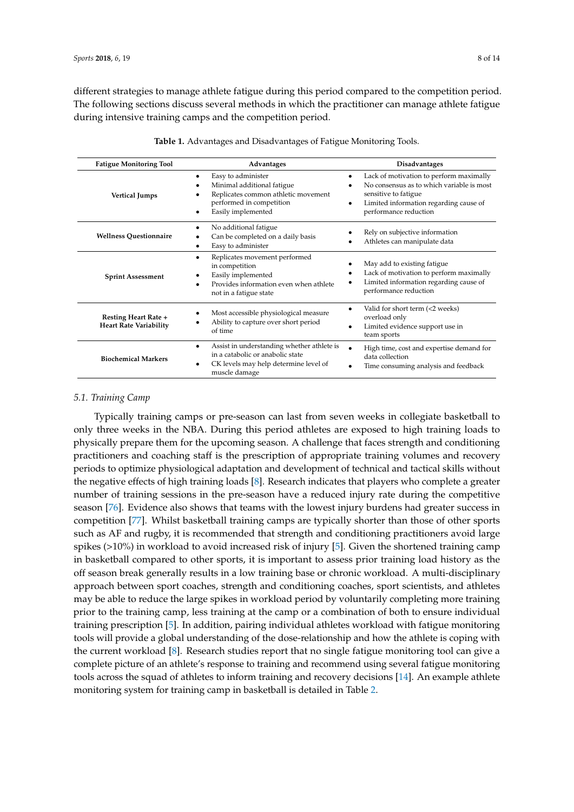different strategies to manage athlete fatigue during this period compared to the competition period. The following sections discuss several methods in which the practitioner can manage athlete fatigue during intensive training camps and the competition period.

<span id="page-9-0"></span>

| <b>Fatigue Monitoring Tool</b>                               | Advantages                                                                                                                                                 | <b>Disadvantages</b>                                                                                                                                                            |
|--------------------------------------------------------------|------------------------------------------------------------------------------------------------------------------------------------------------------------|---------------------------------------------------------------------------------------------------------------------------------------------------------------------------------|
| <b>Vertical Jumps</b>                                        | Easy to administer<br>٠<br>Minimal additional fatigue<br>٠<br>Replicates common athletic movement<br>performed in competition<br>Easily implemented<br>٠   | Lack of motivation to perform maximally<br>No consensus as to which variable is most<br>sensitive to fatigue<br>Limited information regarding cause of<br>performance reduction |
| <b>Wellness Questionnaire</b>                                | No additional fatigue<br>٠<br>Can be completed on a daily basis<br>Easy to administer<br>٠                                                                 | Rely on subjective information<br>Athletes can manipulate data                                                                                                                  |
| <b>Sprint Assessment</b>                                     | Replicates movement performed<br>٠<br>in competition<br>Easily implemented<br>٠<br>Provides information even when athlete<br>٠<br>not in a fatigue state   | May add to existing fatigue<br>Lack of motivation to perform maximally<br>Limited information regarding cause of<br>performance reduction                                       |
| <b>Resting Heart Rate +</b><br><b>Heart Rate Variability</b> | Most accessible physiological measure<br>٠<br>Ability to capture over short period<br>of time                                                              | Valid for short term (<2 weeks)<br>overload only<br>Limited evidence support use in<br>team sports                                                                              |
| <b>Biochemical Markers</b>                                   | Assist in understanding whether athlete is<br>$\bullet$<br>in a catabolic or anabolic state<br>CK levels may help determine level of<br>٠<br>muscle damage | High time, cost and expertise demand for<br>data collection<br>Time consuming analysis and feedback                                                                             |

| Table 1. Advantages and Disadvantages of Fatigue Monitoring Tools. |  |  |  |
|--------------------------------------------------------------------|--|--|--|
|--------------------------------------------------------------------|--|--|--|

#### *5.1. Training Camp*

Typically training camps or pre-season can last from seven weeks in collegiate basketball to only three weeks in the NBA. During this period athletes are exposed to high training loads to physically prepare them for the upcoming season. A challenge that faces strength and conditioning practitioners and coaching staff is the prescription of appropriate training volumes and recovery periods to optimize physiological adaptation and development of technical and tactical skills without the negative effects of high training loads [\[8\]](#page-12-20). Research indicates that players who complete a greater number of training sessions in the pre-season have a reduced injury rate during the competitive season [\[76\]](#page-15-2). Evidence also shows that teams with the lowest injury burdens had greater success in competition [\[77\]](#page-15-3). Whilst basketball training camps are typically shorter than those of other sports such as AF and rugby, it is recommended that strength and conditioning practitioners avoid large spikes (>10%) in workload to avoid increased risk of injury [\[5\]](#page-12-0). Given the shortened training camp in basketball compared to other sports, it is important to assess prior training load history as the off season break generally results in a low training base or chronic workload. A multi-disciplinary approach between sport coaches, strength and conditioning coaches, sport scientists, and athletes may be able to reduce the large spikes in workload period by voluntarily completing more training prior to the training camp, less training at the camp or a combination of both to ensure individual training prescription [\[5\]](#page-12-0). In addition, pairing individual athletes workload with fatigue monitoring tools will provide a global understanding of the dose-relationship and how the athlete is coping with the current workload [\[8\]](#page-12-20). Research studies report that no single fatigue monitoring tool can give a complete picture of an athlete's response to training and recommend using several fatigue monitoring tools across the squad of athletes to inform training and recovery decisions [\[14\]](#page-12-7). An example athlete monitoring system for training camp in basketball is detailed in Table [2.](#page-10-0)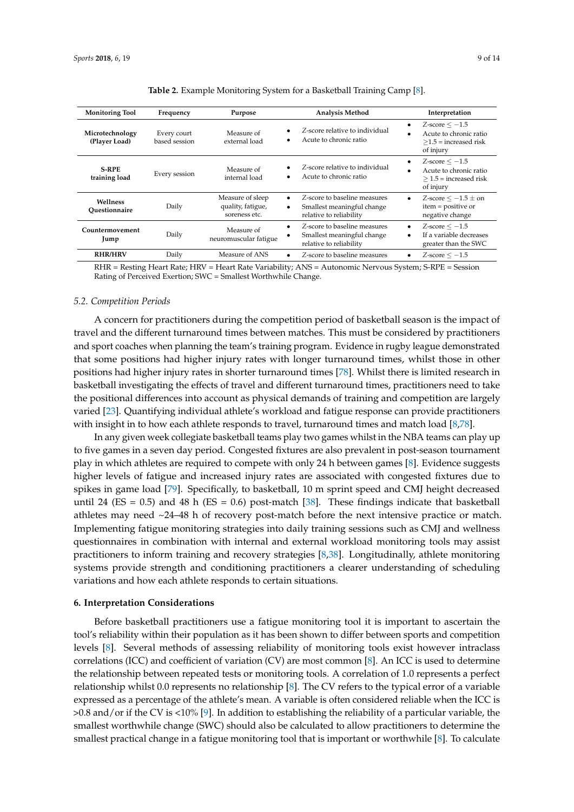<span id="page-10-0"></span>

| <b>Monitoring Tool</b>           | Frequency                    | Purpose                                                | Analysis Method                                                                            | Interpretation                                                                                |
|----------------------------------|------------------------------|--------------------------------------------------------|--------------------------------------------------------------------------------------------|-----------------------------------------------------------------------------------------------|
| Microtechnology<br>(Player Load) | Every court<br>based session | Measure of<br>external load                            | Z-score relative to individual<br>Acute to chronic ratio                                   | $Z$ -score $\leq -1.5$<br>٠<br>Acute to chronic ratio<br>$>1.5$ = increased risk<br>of injury |
| <b>S-RPE</b><br>training load    | Every session                | Measure of<br>internal load                            | Z-score relative to individual<br>Acute to chronic ratio                                   | $Z$ -score $\leq -1.5$<br>Acute to chronic ratio<br>$>$ 1.5 = increased risk<br>of injury     |
| Wellness<br>Ouestionnaire        | Daily                        | Measure of sleep<br>quality, fatigue,<br>soreness etc. | Z-score to baseline measures<br>Smallest meaningful change<br>٠<br>relative to reliability | Z-score $\leq -1.5 \pm \text{on}$<br>٠<br>item = positive or<br>negative change               |
| Countermovement<br>Jump          | Daily                        | Measure of<br>neuromuscular fatigue                    | Z-score to baseline measures<br>Smallest meaningful change<br>٠<br>relative to reliability | $Z$ -score $\leq -1.5$<br>٠<br>If a variable decreases<br>٠<br>greater than the SWC           |
| <b>RHR/HRV</b>                   | Daily                        | Measure of ANS                                         | Z-score to baseline measures                                                               | $Z$ -score $\leq -1.5$                                                                        |
|                                  |                              |                                                        |                                                                                            |                                                                                               |

**Table 2.** Example Monitoring System for a Basketball Training Camp [\[8\]](#page-12-20).

RHR = Resting Heart Rate; HRV = Heart Rate Variability; ANS = Autonomic Nervous System; S-RPE = Session Rating of Perceived Exertion; SWC = Smallest Worthwhile Change.

#### *5.2. Competition Periods*

A concern for practitioners during the competition period of basketball season is the impact of travel and the different turnaround times between matches. This must be considered by practitioners and sport coaches when planning the team's training program. Evidence in rugby league demonstrated that some positions had higher injury rates with longer turnaround times, whilst those in other positions had higher injury rates in shorter turnaround times [\[78\]](#page-15-4). Whilst there is limited research in basketball investigating the effects of travel and different turnaround times, practitioners need to take the positional differences into account as physical demands of training and competition are largely varied [\[23\]](#page-12-15). Quantifying individual athlete's workload and fatigue response can provide practitioners with insight in to how each athlete responds to travel, turnaround times and match load [\[8,](#page-12-20)[78\]](#page-15-4).

In any given week collegiate basketball teams play two games whilst in the NBA teams can play up to five games in a seven day period. Congested fixtures are also prevalent in post-season tournament play in which athletes are required to compete with only 24 h between games [\[8\]](#page-12-20). Evidence suggests higher levels of fatigue and increased injury rates are associated with congested fixtures due to spikes in game load [\[79\]](#page-15-5). Specifically, to basketball, 10 m sprint speed and CMJ height decreased until 24 ( $ES = 0.5$ ) and 48 h ( $ES = 0.6$ ) post-match [\[38\]](#page-13-9). These findings indicate that basketball athletes may need ~24–48 h of recovery post-match before the next intensive practice or match. Implementing fatigue monitoring strategies into daily training sessions such as CMJ and wellness questionnaires in combination with internal and external workload monitoring tools may assist practitioners to inform training and recovery strategies [\[8](#page-12-20)[,38\]](#page-13-9). Longitudinally, athlete monitoring systems provide strength and conditioning practitioners a clearer understanding of scheduling variations and how each athlete responds to certain situations.

#### **6. Interpretation Considerations**

Before basketball practitioners use a fatigue monitoring tool it is important to ascertain the tool's reliability within their population as it has been shown to differ between sports and competition levels [\[8\]](#page-12-20). Several methods of assessing reliability of monitoring tools exist however intraclass correlations (ICC) and coefficient of variation (CV) are most common [\[8\]](#page-12-20). An ICC is used to determine the relationship between repeated tests or monitoring tools. A correlation of 1.0 represents a perfect relationship whilst 0.0 represents no relationship [\[8\]](#page-12-20). The CV refers to the typical error of a variable expressed as a percentage of the athlete's mean. A variable is often considered reliable when the ICC is >0.8 and/or if the CV is <10% [\[9\]](#page-12-21). In addition to establishing the reliability of a particular variable, the smallest worthwhile change (SWC) should also be calculated to allow practitioners to determine the smallest practical change in a fatigue monitoring tool that is important or worthwhile [\[8\]](#page-12-20). To calculate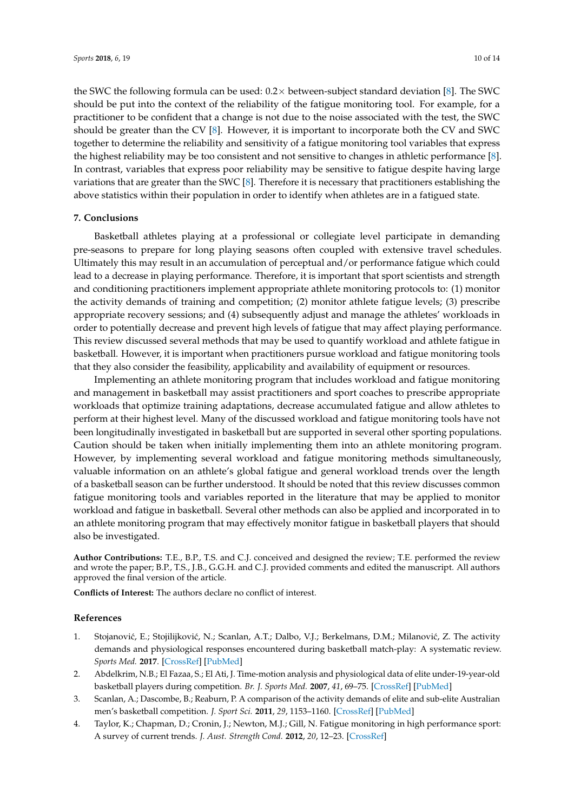the SWC the following formula can be used:  $0.2\times$  between-subject standard deviation [\[8\]](#page-12-20). The SWC should be put into the context of the reliability of the fatigue monitoring tool. For example, for a practitioner to be confident that a change is not due to the noise associated with the test, the SWC should be greater than the CV [\[8\]](#page-12-20). However, it is important to incorporate both the CV and SWC together to determine the reliability and sensitivity of a fatigue monitoring tool variables that express the highest reliability may be too consistent and not sensitive to changes in athletic performance [\[8\]](#page-12-20). In contrast, variables that express poor reliability may be sensitive to fatigue despite having large variations that are greater than the SWC [\[8\]](#page-12-20). Therefore it is necessary that practitioners establishing the above statistics within their population in order to identify when athletes are in a fatigued state.

#### **7. Conclusions**

Basketball athletes playing at a professional or collegiate level participate in demanding pre-seasons to prepare for long playing seasons often coupled with extensive travel schedules. Ultimately this may result in an accumulation of perceptual and/or performance fatigue which could lead to a decrease in playing performance. Therefore, it is important that sport scientists and strength and conditioning practitioners implement appropriate athlete monitoring protocols to: (1) monitor the activity demands of training and competition; (2) monitor athlete fatigue levels; (3) prescribe appropriate recovery sessions; and (4) subsequently adjust and manage the athletes' workloads in order to potentially decrease and prevent high levels of fatigue that may affect playing performance. This review discussed several methods that may be used to quantify workload and athlete fatigue in basketball. However, it is important when practitioners pursue workload and fatigue monitoring tools that they also consider the feasibility, applicability and availability of equipment or resources.

Implementing an athlete monitoring program that includes workload and fatigue monitoring and management in basketball may assist practitioners and sport coaches to prescribe appropriate workloads that optimize training adaptations, decrease accumulated fatigue and allow athletes to perform at their highest level. Many of the discussed workload and fatigue monitoring tools have not been longitudinally investigated in basketball but are supported in several other sporting populations. Caution should be taken when initially implementing them into an athlete monitoring program. However, by implementing several workload and fatigue monitoring methods simultaneously, valuable information on an athlete's global fatigue and general workload trends over the length of a basketball season can be further understood. It should be noted that this review discusses common fatigue monitoring tools and variables reported in the literature that may be applied to monitor workload and fatigue in basketball. Several other methods can also be applied and incorporated in to an athlete monitoring program that may effectively monitor fatigue in basketball players that should also be investigated.

**Author Contributions:** T.E., B.P., T.S. and C.J. conceived and designed the review; T.E. performed the review and wrote the paper; B.P., T.S., J.B., G.G.H. and C.J. provided comments and edited the manuscript. All authors approved the final version of the article.

**Conflicts of Interest:** The authors declare no conflict of interest.

#### **References**

- <span id="page-11-0"></span>1. Stojanović, E.; Stojilijković, N.; Scanlan, A.T.; Dalbo, V.J.; Berkelmans, D.M.; Milanović, Z. The activity demands and physiological responses encountered during basketball match-play: A systematic review. *Sports Med.* **2017**. [\[CrossRef\]](http://dx.doi.org/10.1007/s40279-017-0794-z) [\[PubMed\]](http://www.ncbi.nlm.nih.gov/pubmed/29039018)
- <span id="page-11-1"></span>2. Abdelkrim, N.B.; El Fazaa, S.; El Ati, J. Time-motion analysis and physiological data of elite under-19-year-old basketball players during competition. *Br. J. Sports Med.* **2007**, *41*, 69–75. [\[CrossRef\]](http://dx.doi.org/10.1136/bjsm.2006.032318) [\[PubMed\]](http://www.ncbi.nlm.nih.gov/pubmed/17138630)
- <span id="page-11-2"></span>3. Scanlan, A.; Dascombe, B.; Reaburn, P. A comparison of the activity demands of elite and sub-elite Australian men's basketball competition. *J. Sport Sci.* **2011**, *29*, 1153–1160. [\[CrossRef\]](http://dx.doi.org/10.1080/02640414.2011.582509) [\[PubMed\]](http://www.ncbi.nlm.nih.gov/pubmed/21777151)
- <span id="page-11-3"></span>4. Taylor, K.; Chapman, D.; Cronin, J.; Newton, M.J.; Gill, N. Fatigue monitoring in high performance sport: A survey of current trends. *J. Aust. Strength Cond.* **2012**, *20*, 12–23. [\[CrossRef\]](http://dx.doi.org/10.13140/RG.2.2.36468.55685)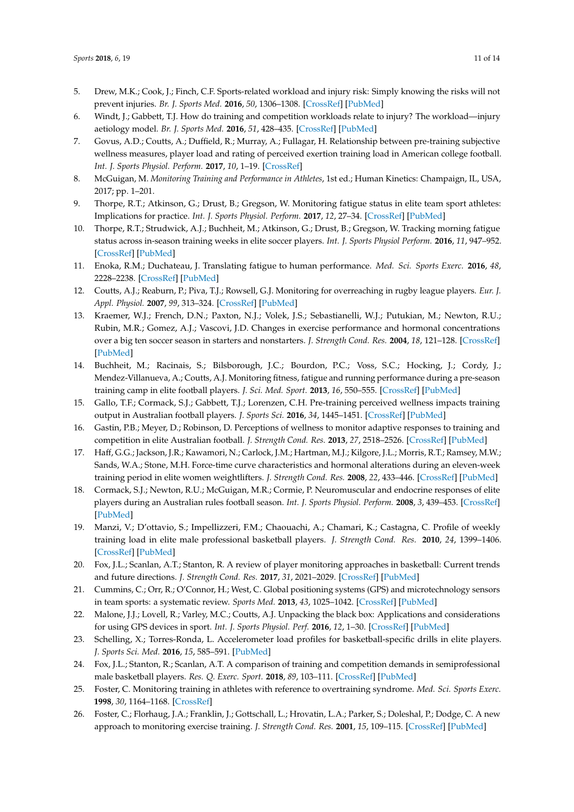- <span id="page-12-0"></span>5. Drew, M.K.; Cook, J.; Finch, C.F. Sports-related workload and injury risk: Simply knowing the risks will not prevent injuries. *Br. J. Sports Med.* **2016**, *50*, 1306–1308. [\[CrossRef\]](http://dx.doi.org/10.1136/bjsports-2015-095871) [\[PubMed\]](http://www.ncbi.nlm.nih.gov/pubmed/27166288)
- <span id="page-12-1"></span>6. Windt, J.; Gabbett, T.J. How do training and competition workloads relate to injury? The workload—injury aetiology model. *Br. J. Sports Med.* **2016**, *51*, 428–435. [\[CrossRef\]](http://dx.doi.org/10.1136/bjsports-2016-096040) [\[PubMed\]](http://www.ncbi.nlm.nih.gov/pubmed/27418321)
- <span id="page-12-2"></span>7. Govus, A.D.; Coutts, A.; Duffield, R.; Murray, A.; Fullagar, H. Relationship between pre-training subjective wellness measures, player load and rating of perceived exertion training load in American college football. *Int. J. Sports Physiol. Perform.* **2017**, *10*, 1–19. [\[CrossRef\]](http://dx.doi.org/10.1123/ijspp.2016-0714)
- <span id="page-12-20"></span>8. McGuigan, M. *Monitoring Training and Performance in Athletes*, 1st ed.; Human Kinetics: Champaign, IL, USA, 2017; pp. 1–201.
- <span id="page-12-21"></span>9. Thorpe, R.T.; Atkinson, G.; Drust, B.; Gregson, W. Monitoring fatigue status in elite team sport athletes: Implications for practice. *Int. J. Sports Physiol. Perform.* **2017**, *12*, 27–34. [\[CrossRef\]](http://dx.doi.org/10.1123/ijspp.2016-0434) [\[PubMed\]](http://www.ncbi.nlm.nih.gov/pubmed/28095065)
- <span id="page-12-3"></span>10. Thorpe, R.T.; Strudwick, A.J.; Buchheit, M.; Atkinson, G.; Drust, B.; Gregson, W. Tracking morning fatigue status across in-season training weeks in elite soccer players. *Int. J. Sports Physiol Perform.* **2016**, *11*, 947–952. [\[CrossRef\]](http://dx.doi.org/10.1123/ijspp.2015-0490) [\[PubMed\]](http://www.ncbi.nlm.nih.gov/pubmed/26816390)
- <span id="page-12-4"></span>11. Enoka, R.M.; Duchateau, J. Translating fatigue to human performance. *Med. Sci. Sports Exerc.* **2016**, *48*, 2228–2238. [\[CrossRef\]](http://dx.doi.org/10.1249/MSS.0000000000000929) [\[PubMed\]](http://www.ncbi.nlm.nih.gov/pubmed/27015386)
- <span id="page-12-5"></span>12. Coutts, A.J.; Reaburn, P.; Piva, T.J.; Rowsell, G.J. Monitoring for overreaching in rugby league players. *Eur. J. Appl. Physiol.* **2007**, *99*, 313–324. [\[CrossRef\]](http://dx.doi.org/10.1007/s00421-006-0345-z) [\[PubMed\]](http://www.ncbi.nlm.nih.gov/pubmed/17219174)
- <span id="page-12-6"></span>13. Kraemer, W.J.; French, D.N.; Paxton, N.J.; Volek, J.S.; Sebastianelli, W.J.; Putukian, M.; Newton, R.U.; Rubin, M.R.; Gomez, A.J.; Vascovi, J.D. Changes in exercise performance and hormonal concentrations over a big ten soccer season in starters and nonstarters. *J. Strength Cond. Res.* **2004**, *18*, 121–128. [\[CrossRef\]](http://dx.doi.org/10.1519/1533-4287(2004)0182.0.CO;2) [\[PubMed\]](http://www.ncbi.nlm.nih.gov/pubmed/14971972)
- <span id="page-12-7"></span>14. Buchheit, M.; Racinais, S.; Bilsborough, J.C.; Bourdon, P.C.; Voss, S.C.; Hocking, J.; Cordy, J.; Mendez-Villanueva, A.; Coutts, A.J. Monitoring fitness, fatigue and running performance during a pre-season training camp in elite football players. *J. Sci. Med. Sport.* **2013**, *16*, 550–555. [\[CrossRef\]](http://dx.doi.org/10.1016/j.jsams.2012.12.003) [\[PubMed\]](http://www.ncbi.nlm.nih.gov/pubmed/23332540)
- <span id="page-12-19"></span>15. Gallo, T.F.; Cormack, S.J.; Gabbett, T.J.; Lorenzen, C.H. Pre-training perceived wellness impacts training output in Australian football players. *J. Sports Sci.* **2016**, *34*, 1445–1451. [\[CrossRef\]](http://dx.doi.org/10.1080/02640414.2015.1119295) [\[PubMed\]](http://www.ncbi.nlm.nih.gov/pubmed/26637525)
- <span id="page-12-8"></span>16. Gastin, P.B.; Meyer, D.; Robinson, D. Perceptions of wellness to monitor adaptive responses to training and competition in elite Australian football. *J. Strength Cond. Res.* **2013**, *27*, 2518–2526. [\[CrossRef\]](http://dx.doi.org/10.1519/JSC.0b013e31827fd600) [\[PubMed\]](http://www.ncbi.nlm.nih.gov/pubmed/23249820)
- <span id="page-12-9"></span>17. Haff, G.G.; Jackson, J.R.; Kawamori, N.; Carlock, J.M.; Hartman, M.J.; Kilgore, J.L.; Morris, R.T.; Ramsey, M.W.; Sands, W.A.; Stone, M.H. Force-time curve characteristics and hormonal alterations during an eleven-week training period in elite women weightlifters. *J. Strength Cond. Res.* **2008**, *22*, 433–446. [\[CrossRef\]](http://dx.doi.org/10.1519/JSC.0b013e31816191be) [\[PubMed\]](http://www.ncbi.nlm.nih.gov/pubmed/18550958)
- <span id="page-12-10"></span>18. Cormack, S.J.; Newton, R.U.; McGuigan, M.R.; Cormie, P. Neuromuscular and endocrine responses of elite players during an Australian rules football season. *Int. J. Sports Physiol. Perform.* **2008**, *3*, 439–453. [\[CrossRef\]](http://dx.doi.org/10.1123/ijspp.3.4.439) [\[PubMed\]](http://www.ncbi.nlm.nih.gov/pubmed/19223670)
- <span id="page-12-11"></span>19. Manzi, V.; D'ottavio, S.; Impellizzeri, F.M.; Chaouachi, A.; Chamari, K.; Castagna, C. Profile of weekly training load in elite male professional basketball players. *J. Strength Cond. Res.* **2010**, *24*, 1399–1406. [\[CrossRef\]](http://dx.doi.org/10.1519/JSC.0b013e3181d7552a) [\[PubMed\]](http://www.ncbi.nlm.nih.gov/pubmed/20386474)
- <span id="page-12-12"></span>20. Fox, J.L.; Scanlan, A.T.; Stanton, R. A review of player monitoring approaches in basketball: Current trends and future directions. *J. Strength Cond. Res.* **2017**, *31*, 2021–2029. [\[CrossRef\]](http://dx.doi.org/10.1519/JSC.0000000000001964) [\[PubMed\]](http://www.ncbi.nlm.nih.gov/pubmed/28445227)
- <span id="page-12-13"></span>21. Cummins, C.; Orr, R.; O'Connor, H.; West, C. Global positioning systems (GPS) and microtechnology sensors in team sports: a systematic review. *Sports Med.* **2013**, *43*, 1025–1042. [\[CrossRef\]](http://dx.doi.org/10.1007/s40279-013-0069-2) [\[PubMed\]](http://www.ncbi.nlm.nih.gov/pubmed/23812857)
- <span id="page-12-14"></span>22. Malone, J.J.; Lovell, R.; Varley, M.C.; Coutts, A.J. Unpacking the black box: Applications and considerations for using GPS devices in sport. *Int. J. Sports Physiol. Perf.* **2016**, *12*, 1–30. [\[CrossRef\]](http://dx.doi.org/10.1123/ijspp.2016-0236) [\[PubMed\]](http://www.ncbi.nlm.nih.gov/pubmed/27736244)
- <span id="page-12-15"></span>23. Schelling, X.; Torres-Ronda, L. Accelerometer load profiles for basketball-specific drills in elite players. *J. Sports Sci. Med.* **2016**, *15*, 585–591. [\[PubMed\]](http://www.ncbi.nlm.nih.gov/pubmed/27928203)
- <span id="page-12-16"></span>24. Fox, J.L.; Stanton, R.; Scanlan, A.T. A comparison of training and competition demands in semiprofessional male basketball players. *Res. Q. Exerc. Sport.* **2018**, *89*, 103–111. [\[CrossRef\]](http://dx.doi.org/10.1080/02701367.2017.1410693) [\[PubMed\]](http://www.ncbi.nlm.nih.gov/pubmed/29334021)
- <span id="page-12-17"></span>25. Foster, C. Monitoring training in athletes with reference to overtraining syndrome. *Med. Sci. Sports Exerc.* **1998**, *30*, 1164–1168. [\[CrossRef\]](http://dx.doi.org/10.1097/00005768-199807000-00023)
- <span id="page-12-18"></span>26. Foster, C.; Florhaug, J.A.; Franklin, J.; Gottschall, L.; Hrovatin, L.A.; Parker, S.; Doleshal, P.; Dodge, C. A new approach to monitoring exercise training. *J. Strength Cond. Res.* **2001**, *15*, 109–115. [\[CrossRef\]](http://dx.doi.org/10.1519/00124278-200102000-00019) [\[PubMed\]](http://www.ncbi.nlm.nih.gov/pubmed/11708692)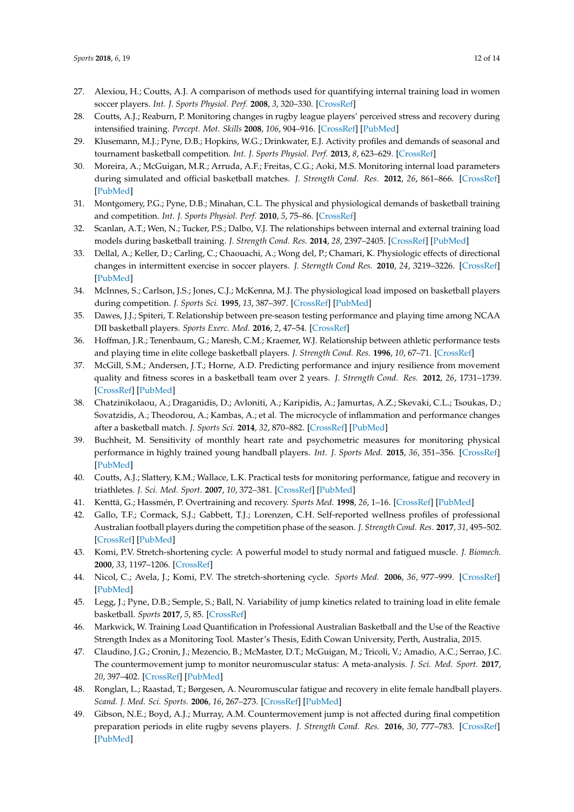- <span id="page-13-0"></span>27. Alexiou, H.; Coutts, A.J. A comparison of methods used for quantifying internal training load in women soccer players. *Int. J. Sports Physiol. Perf.* **2008**, *3*, 320–330. [\[CrossRef\]](http://dx.doi.org/10.1123/ijspp.3.3.320)
- <span id="page-13-1"></span>28. Coutts, A.J.; Reaburn, P. Monitoring changes in rugby league players' perceived stress and recovery during intensified training. *Percept. Mot. Skills* **2008**, *106*, 904–916. [\[CrossRef\]](http://dx.doi.org/10.2466/pms.106.3.904-916) [\[PubMed\]](http://www.ncbi.nlm.nih.gov/pubmed/18712214)
- <span id="page-13-2"></span>29. Klusemann, M.J.; Pyne, D.B.; Hopkins, W.G.; Drinkwater, E.J. Activity profiles and demands of seasonal and tournament basketball competition. *Int. J. Sports Physiol. Perf.* **2013**, *8*, 623–629. [\[CrossRef\]](http://dx.doi.org/10.1123/ijspp.8.6.623)
- 30. Moreira, A.; McGuigan, M.R.; Arruda, A.F.; Freitas, C.G.; Aoki, M.S. Monitoring internal load parameters during simulated and official basketball matches. *J. Strength Cond. Res.* **2012**, *26*, 861–866. [\[CrossRef\]](http://dx.doi.org/10.1519/JSC.0b013e31822645e9) [\[PubMed\]](http://www.ncbi.nlm.nih.gov/pubmed/22289698)
- 31. Montgomery, P.G.; Pyne, D.B.; Minahan, C.L. The physical and physiological demands of basketball training and competition. *Int. J. Sports Physiol. Perf.* **2010**, *5*, 75–86. [\[CrossRef\]](http://dx.doi.org/10.1123/ijspp.5.1.75)
- <span id="page-13-3"></span>32. Scanlan, A.T.; Wen, N.; Tucker, P.S.; Dalbo, V.J. The relationships between internal and external training load models during basketball training. *J. Strength Cond. Res.* **2014**, *28*, 2397–2405. [\[CrossRef\]](http://dx.doi.org/10.1519/JSC.0000000000000458) [\[PubMed\]](http://www.ncbi.nlm.nih.gov/pubmed/24662233)
- <span id="page-13-4"></span>33. Dellal, A.; Keller, D.; Carling, C.; Chaouachi, A.; Wong del, P.; Chamari, K. Physiologic effects of directional changes in intermittent exercise in soccer players. *J. Sterngth Cond Res.* **2010**, *24*, 3219–3226. [\[CrossRef\]](http://dx.doi.org/10.1519/JSC.0b013e3181b94a63) [\[PubMed\]](http://www.ncbi.nlm.nih.gov/pubmed/19996785)
- <span id="page-13-5"></span>34. McInnes, S.; Carlson, J.S.; Jones, C.J.; McKenna, M.J. The physiological load imposed on basketball players during competition. *J. Sports Sci.* **1995**, *13*, 387–397. [\[CrossRef\]](http://dx.doi.org/10.1080/02640419508732254) [\[PubMed\]](http://www.ncbi.nlm.nih.gov/pubmed/8558625)
- <span id="page-13-6"></span>35. Dawes, J.J.; Spiteri, T. Relationship between pre-season testing performance and playing time among NCAA DII basketball players. *Sports Exerc. Med.* **2016**, *2*, 47–54. [\[CrossRef\]](http://dx.doi.org/10.17140/SEMOJ-2-138)
- <span id="page-13-7"></span>36. Hoffman, J.R.; Tenenbaum, G.; Maresh, C.M.; Kraemer, W.J. Relationship between athletic performance tests and playing time in elite college basketball players. *J. Strength Cond. Res.* **1996**, *10*, 67–71. [\[CrossRef\]](http://dx.doi.org/10.1519/1533-4287(1996)0102.3.CO;2)
- <span id="page-13-8"></span>37. McGill, S.M.; Andersen, J.T.; Horne, A.D. Predicting performance and injury resilience from movement quality and fitness scores in a basketball team over 2 years. *J. Strength Cond. Res.* **2012**, *26*, 1731–1739. [\[CrossRef\]](http://dx.doi.org/10.1519/JSC.0b013e3182576a76) [\[PubMed\]](http://www.ncbi.nlm.nih.gov/pubmed/22505125)
- <span id="page-13-9"></span>38. Chatzinikolaou, A.; Draganidis, D.; Avloniti, A.; Karipidis, A.; Jamurtas, A.Z.; Skevaki, C.L.; Tsoukas, D.; Sovatzidis, A.; Theodorou, A.; Kambas, A.; et al. The microcycle of inflammation and performance changes after a basketball match. *J. Sports Sci.* **2014**, *32*, 870–882. [\[CrossRef\]](http://dx.doi.org/10.1080/02640414.2013.865251) [\[PubMed\]](http://www.ncbi.nlm.nih.gov/pubmed/24479464)
- <span id="page-13-10"></span>39. Buchheit, M. Sensitivity of monthly heart rate and psychometric measures for monitoring physical performance in highly trained young handball players. *Int. J. Sports Med.* **2015**, *36*, 351–356. [\[CrossRef\]](http://dx.doi.org/10.1055/s-0034-1385882) [\[PubMed\]](http://www.ncbi.nlm.nih.gov/pubmed/25429552)
- <span id="page-13-11"></span>40. Coutts, A.J.; Slattery, K.M.; Wallace, L.K. Practical tests for monitoring performance, fatigue and recovery in triathletes. *J. Sci. Med. Sport.* **2007**, *10*, 372–381. [\[CrossRef\]](http://dx.doi.org/10.1016/j.jsams.2007.02.007) [\[PubMed\]](http://www.ncbi.nlm.nih.gov/pubmed/17466593)
- <span id="page-13-12"></span>41. Kenttä, G.; Hassmén, P. Overtraining and recovery. *Sports Med.* **1998**, *26*, 1–16. [\[CrossRef\]](http://dx.doi.org/10.2165/00007256-199826010-00001) [\[PubMed\]](http://www.ncbi.nlm.nih.gov/pubmed/9739537)
- <span id="page-13-13"></span>42. Gallo, T.F.; Cormack, S.J.; Gabbett, T.J.; Lorenzen, C.H. Self-reported wellness profiles of professional Australian football players during the competition phase of the season. *J. Strength Cond. Res.* **2017**, *31*, 495–502. [\[CrossRef\]](http://dx.doi.org/10.1519/JSC.0000000000001515) [\[PubMed\]](http://www.ncbi.nlm.nih.gov/pubmed/27243912)
- <span id="page-13-14"></span>43. Komi, P.V. Stretch-shortening cycle: A powerful model to study normal and fatigued muscle. *J. Biomech.* **2000**, *33*, 1197–1206. [\[CrossRef\]](http://dx.doi.org/10.1016/S0021-9290(00)00064-6)
- <span id="page-13-15"></span>44. Nicol, C.; Avela, J.; Komi, P.V. The stretch-shortening cycle. *Sports Med.* **2006**, *36*, 977–999. [\[CrossRef\]](http://dx.doi.org/10.2165/00007256-200636110-00004) [\[PubMed\]](http://www.ncbi.nlm.nih.gov/pubmed/17052133)
- <span id="page-13-16"></span>45. Legg, J.; Pyne, D.B.; Semple, S.; Ball, N. Variability of jump kinetics related to training load in elite female basketball. *Sports* **2017**, *5*, 85. [\[CrossRef\]](http://dx.doi.org/10.3390/sports5040085)
- <span id="page-13-17"></span>46. Markwick, W. Training Load Quantification in Professional Australian Basketball and the Use of the Reactive Strength Index as a Monitoring Tool. Master's Thesis, Edith Cowan University, Perth, Australia, 2015.
- <span id="page-13-18"></span>47. Claudino, J.G.; Cronin, J.; Mezencio, B.; McMaster, D.T.; McGuigan, M.; Tricoli, V.; Amadio, A.C.; Serrao, J.C. The countermovement jump to monitor neuromuscular status: A meta-analysis. *J. Sci. Med. Sport.* **2017**, *20*, 397–402. [\[CrossRef\]](http://dx.doi.org/10.1016/j.jsams.2016.08.011) [\[PubMed\]](http://www.ncbi.nlm.nih.gov/pubmed/27663764)
- <span id="page-13-19"></span>48. Ronglan, L.; Raastad, T.; Børgesen, A. Neuromuscular fatigue and recovery in elite female handball players. *Scand. J. Med. Sci. Sports.* **2006**, *16*, 267–273. [\[CrossRef\]](http://dx.doi.org/10.1111/j.1600-0838.2005.00474.x) [\[PubMed\]](http://www.ncbi.nlm.nih.gov/pubmed/16895532)
- <span id="page-13-20"></span>49. Gibson, N.E.; Boyd, A.J.; Murray, A.M. Countermovement jump is not affected during final competition preparation periods in elite rugby sevens players. *J. Strength Cond. Res.* **2016**, *30*, 777–783. [\[CrossRef\]](http://dx.doi.org/10.1519/JSC.0000000000001156) [\[PubMed\]](http://www.ncbi.nlm.nih.gov/pubmed/26332780)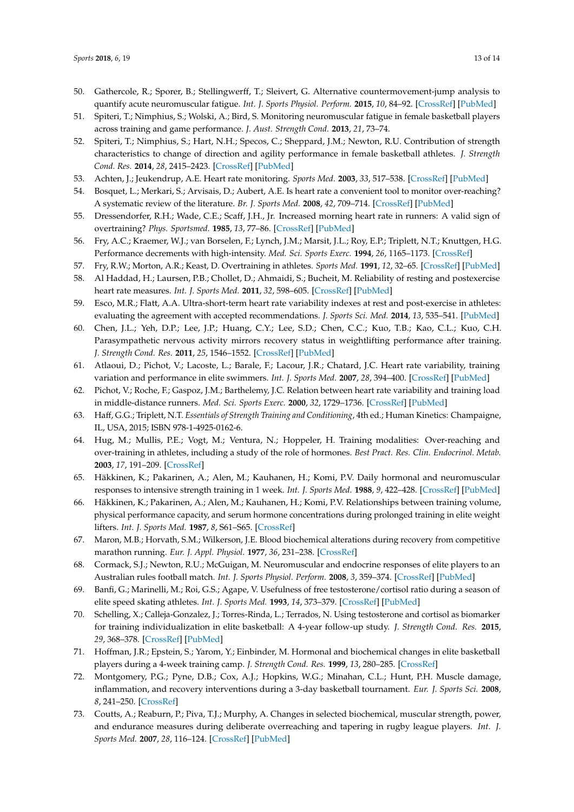- <span id="page-14-0"></span>50. Gathercole, R.; Sporer, B.; Stellingwerff, T.; Sleivert, G. Alternative countermovement-jump analysis to quantify acute neuromuscular fatigue. *Int. J. Sports Physiol. Perform.* **2015**, *10*, 84–92. [\[CrossRef\]](http://dx.doi.org/10.1123/ijspp.2013-0413) [\[PubMed\]](http://www.ncbi.nlm.nih.gov/pubmed/24912201)
- <span id="page-14-1"></span>51. Spiteri, T.; Nimphius, S.; Wolski, A.; Bird, S. Monitoring neuromuscular fatigue in female basketball players across training and game performance. *J. Aust. Strength Cond.* **2013**, *21*, 73–74.
- <span id="page-14-2"></span>52. Spiteri, T.; Nimphius, S.; Hart, N.H.; Specos, C.; Sheppard, J.M.; Newton, R.U. Contribution of strength characteristics to change of direction and agility performance in female basketball athletes. *J. Strength Cond. Res.* **2014**, *28*, 2415–2423. [\[CrossRef\]](http://dx.doi.org/10.1519/JSC.0000000000000547) [\[PubMed\]](http://www.ncbi.nlm.nih.gov/pubmed/24875426)
- <span id="page-14-3"></span>53. Achten, J.; Jeukendrup, A.E. Heart rate monitoring. *Sports Med.* **2003**, *33*, 517–538. [\[CrossRef\]](http://dx.doi.org/10.2165/00007256-200333070-00004) [\[PubMed\]](http://www.ncbi.nlm.nih.gov/pubmed/12762827)
- <span id="page-14-4"></span>54. Bosquet, L.; Merkari, S.; Arvisais, D.; Aubert, A.E. Is heart rate a convenient tool to monitor over-reaching? A systematic review of the literature. *Br. J. Sports Med.* **2008**, *42*, 709–714. [\[CrossRef\]](http://dx.doi.org/10.1136/bjsm.2007.042200) [\[PubMed\]](http://www.ncbi.nlm.nih.gov/pubmed/18308872)
- <span id="page-14-5"></span>55. Dressendorfer, R.H.; Wade, C.E.; Scaff, J.H., Jr. Increased morning heart rate in runners: A valid sign of overtraining? *Phys. Sportsmed.* **1985**, *13*, 77–86. [\[CrossRef\]](http://dx.doi.org/10.1080/00913847.1985.11708858) [\[PubMed\]](http://www.ncbi.nlm.nih.gov/pubmed/27442738)
- <span id="page-14-6"></span>56. Fry, A.C.; Kraemer, W.J.; van Borselen, F.; Lynch, J.M.; Marsit, J.L.; Roy, E.P.; Triplett, N.T.; Knuttgen, H.G. Performance decrements with high-intensity. *Med. Sci. Sports Exerc.* **1994**, *26*, 1165–1173. [\[CrossRef\]](http://dx.doi.org/10.1249/00005768-199409000-00015)
- <span id="page-14-7"></span>57. Fry, R.W.; Morton, A.R.; Keast, D. Overtraining in athletes. *Sports Med.* **1991**, *12*, 32–65. [\[CrossRef\]](http://dx.doi.org/10.2165/00007256-199112010-00004) [\[PubMed\]](http://www.ncbi.nlm.nih.gov/pubmed/1925188)
- <span id="page-14-8"></span>58. Al Haddad, H.; Laursen, P.B.; Chollet, D.; Ahmaidi, S.; Bucheit, M. Reliability of resting and postexercise heart rate measures. *Int. J. Sports Med.* **2011**, *32*, 598–605. [\[CrossRef\]](http://dx.doi.org/10.1055/s-0031-1275356) [\[PubMed\]](http://www.ncbi.nlm.nih.gov/pubmed/21574126)
- <span id="page-14-9"></span>59. Esco, M.R.; Flatt, A.A. Ultra-short-term heart rate variability indexes at rest and post-exercise in athletes: evaluating the agreement with accepted recommendations. *J. Sports Sci. Med.* **2014**, *13*, 535–541. [\[PubMed\]](http://www.ncbi.nlm.nih.gov/pubmed/25177179)
- <span id="page-14-10"></span>60. Chen, J.L.; Yeh, D.P.; Lee, J.P.; Huang, C.Y.; Lee, S.D.; Chen, C.C.; Kuo, T.B.; Kao, C.L.; Kuo, C.H. Parasympathetic nervous activity mirrors recovery status in weightlifting performance after training. *J. Strength Cond. Res.* **2011**, *25*, 1546–1552. [\[CrossRef\]](http://dx.doi.org/10.1519/JSC.0b013e3181da7858) [\[PubMed\]](http://www.ncbi.nlm.nih.gov/pubmed/21273908)
- <span id="page-14-11"></span>61. Atlaoui, D.; Pichot, V.; Lacoste, L.; Barale, F.; Lacour, J.R.; Chatard, J.C. Heart rate variability, training variation and performance in elite swimmers. *Int. J. Sports Med.* **2007**, *28*, 394–400. [\[CrossRef\]](http://dx.doi.org/10.1055/s-2006-924490) [\[PubMed\]](http://www.ncbi.nlm.nih.gov/pubmed/17111320)
- <span id="page-14-12"></span>62. Pichot, V.; Roche, F.; Gaspoz, J.M.; Barthelemy, J.C. Relation between heart rate variability and training load in middle-distance runners. *Med. Sci. Sports Exerc.* **2000**, *32*, 1729–1736. [\[CrossRef\]](http://dx.doi.org/10.1097/00005768-200010000-00011) [\[PubMed\]](http://www.ncbi.nlm.nih.gov/pubmed/11039645)
- <span id="page-14-13"></span>63. Haff, G.G.; Triplett, N.T. *Essentials of Strength Training and Conditioning*, 4th ed.; Human Kinetics: Champaigne, IL, USA, 2015; ISBN 978-1-4925-0162-6.
- <span id="page-14-14"></span>64. Hug, M.; Mullis, P.E.; Vogt, M.; Ventura, N.; Hoppeler, H. Training modalities: Over-reaching and over-training in athletes, including a study of the role of hormones. *Best Pract. Res. Clin. Endocrinol. Metab.* **2003**, *17*, 191–209. [\[CrossRef\]](http://dx.doi.org/10.1016/S1521-690X(02)00104-5)
- <span id="page-14-15"></span>65. Häkkinen, K.; Pakarinen, A.; Alen, M.; Kauhanen, H.; Komi, P.V. Daily hormonal and neuromuscular responses to intensive strength training in 1 week. *Int. J. Sports Med.* **1988**, *9*, 422–428. [\[CrossRef\]](http://dx.doi.org/10.1055/s-2007-1025044) [\[PubMed\]](http://www.ncbi.nlm.nih.gov/pubmed/3253232)
- <span id="page-14-16"></span>66. Häkkinen, K.; Pakarinen, A.; Alen, M.; Kauhanen, H.; Komi, P.V. Relationships between training volume, physical performance capacity, and serum hormone concentrations during prolonged training in elite weight lifters. *Int. J. Sports Med.* **1987**, *8*, S61–S65. [\[CrossRef\]](http://dx.doi.org/10.1055/s-2008-1025705)
- <span id="page-14-17"></span>67. Maron, M.B.; Horvath, S.M.; Wilkerson, J.E. Blood biochemical alterations during recovery from competitive marathon running. *Eur. J. Appl. Physiol.* **1977**, *36*, 231–238. [\[CrossRef\]](http://dx.doi.org/10.1007/BF00423048)
- <span id="page-14-18"></span>68. Cormack, S.J.; Newton, R.U.; McGuigan, M. Neuromuscular and endocrine responses of elite players to an Australian rules football match. *Int. J. Sports Physiol. Perform.* **2008**, *3*, 359–374. [\[CrossRef\]](http://dx.doi.org/10.1123/ijspp.3.3.359) [\[PubMed\]](http://www.ncbi.nlm.nih.gov/pubmed/19211947)
- <span id="page-14-19"></span>69. Banfi, G.; Marinelli, M.; Roi, G.S.; Agape, V. Usefulness of free testosterone/cortisol ratio during a season of elite speed skating athletes. *Int. J. Sports Med.* **1993**, *14*, 373–379. [\[CrossRef\]](http://dx.doi.org/10.1055/s-2007-1021195) [\[PubMed\]](http://www.ncbi.nlm.nih.gov/pubmed/8244603)
- <span id="page-14-20"></span>70. Schelling, X.; Calleja-Gonzalez, J.; Torres-Rinda, L.; Terrados, N. Using testosterone and cortisol as biomarker for training individualization in elite basketball: A 4-year follow-up study. *J. Strength Cond. Res.* **2015**, *29*, 368–378. [\[CrossRef\]](http://dx.doi.org/10.1519/JSC.0000000000000642) [\[PubMed\]](http://www.ncbi.nlm.nih.gov/pubmed/25144130)
- <span id="page-14-21"></span>71. Hoffman, J.R.; Epstein, S.; Yarom, Y.; Einbinder, M. Hormonal and biochemical changes in elite basketball players during a 4-week training camp. *J. Strength Cond. Res.* **1999**, *13*, 280–285. [\[CrossRef\]](http://dx.doi.org/10.1519/00124278-199908000-00017)
- <span id="page-14-22"></span>72. Montgomery, P.G.; Pyne, D.B.; Cox, A.J.; Hopkins, W.G.; Minahan, C.L.; Hunt, P.H. Muscle damage, inflammation, and recovery interventions during a 3-day basketball tournament. *Eur. J. Sports Sci.* **2008**, *8*, 241–250. [\[CrossRef\]](http://dx.doi.org/10.1080/17461390802251844)
- <span id="page-14-23"></span>73. Coutts, A.; Reaburn, P.; Piva, T.J.; Murphy, A. Changes in selected biochemical, muscular strength, power, and endurance measures during deliberate overreaching and tapering in rugby league players. *Int. J. Sports Med.* **2007**, *28*, 116–124. [\[CrossRef\]](http://dx.doi.org/10.1055/s-2006-924145) [\[PubMed\]](http://www.ncbi.nlm.nih.gov/pubmed/16835824)